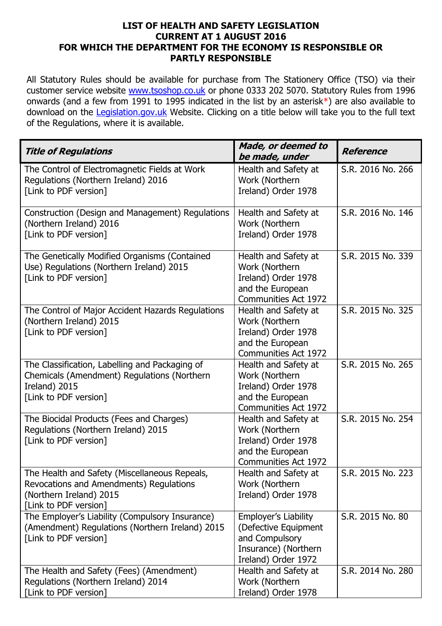## **LIST OF HEALTH AND SAFETY LEGISLATION CURRENT AT 1 AUGUST 2016 FOR WHICH THE DEPARTMENT FOR THE ECONOMY IS RESPONSIBLE OR PARTLY RESPONSIBLE**

All Statutory Rules should be available for purchase from The Stationery Office (TSO) via their customer service website [www.tsoshop.co.uk](http://www.tsoshop.co.uk/) or phone 0333 202 5070. Statutory Rules from 1996 onwards (and a few from 1991 to 1995 indicated in the list by an asterisk\*) are also available to download on the **[Legislation.gov.uk](http://www.legislation.gov.uk/)** Website. Clicking on a title below will take you to the full text of the Regulations, where it is available.

| <b>Title of Regulations</b>                                                                                                                  | Made, or deemed to<br>be made, under                                                                                 | <b>Reference</b>  |
|----------------------------------------------------------------------------------------------------------------------------------------------|----------------------------------------------------------------------------------------------------------------------|-------------------|
| The Control of Electromagnetic Fields at Work<br>Regulations (Northern Ireland) 2016<br>[Link to PDF version]                                | Health and Safety at<br>Work (Northern<br>Ireland) Order 1978                                                        | S.R. 2016 No. 266 |
| Construction (Design and Management) Regulations<br>(Northern Ireland) 2016<br>[Link to PDF version]                                         | Health and Safety at<br>Work (Northern<br>Ireland) Order 1978                                                        | S.R. 2016 No. 146 |
| The Genetically Modified Organisms (Contained<br>Use) Regulations (Northern Ireland) 2015<br>[Link to PDF version]                           | Health and Safety at<br>Work (Northern<br>Ireland) Order 1978<br>and the European<br><b>Communities Act 1972</b>     | S.R. 2015 No. 339 |
| The Control of Major Accident Hazards Regulations<br>(Northern Ireland) 2015<br>[Link to PDF version]                                        | Health and Safety at<br>Work (Northern<br>Ireland) Order 1978<br>and the European<br><b>Communities Act 1972</b>     | S.R. 2015 No. 325 |
| The Classification, Labelling and Packaging of<br>Chemicals (Amendment) Regulations (Northern<br>Ireland) 2015<br>[Link to PDF version]      | Health and Safety at<br>Work (Northern<br>Ireland) Order 1978<br>and the European<br>Communities Act 1972            | S.R. 2015 No. 265 |
| The Biocidal Products (Fees and Charges)<br>Regulations (Northern Ireland) 2015<br>[Link to PDF version]                                     | Health and Safety at<br>Work (Northern<br>Ireland) Order 1978<br>and the European<br><b>Communities Act 1972</b>     | S.R. 2015 No. 254 |
| The Health and Safety (Miscellaneous Repeals,<br>Revocations and Amendments) Regulations<br>(Northern Ireland) 2015<br>[Link to PDF version] | Health and Safety at<br>Work (Northern<br>Ireland) Order 1978                                                        | S.R. 2015 No. 223 |
| The Employer's Liability (Compulsory Insurance)<br>(Amendment) Regulations (Northern Ireland) 2015<br>[Link to PDF version]                  | <b>Employer's Liability</b><br>(Defective Equipment<br>and Compulsory<br>Insurance) (Northern<br>Ireland) Order 1972 | S.R. 2015 No. 80  |
| The Health and Safety (Fees) (Amendment)<br>Regulations (Northern Ireland) 2014<br>[Link to PDF version]                                     | Health and Safety at<br>Work (Northern<br>Ireland) Order 1978                                                        | S.R. 2014 No. 280 |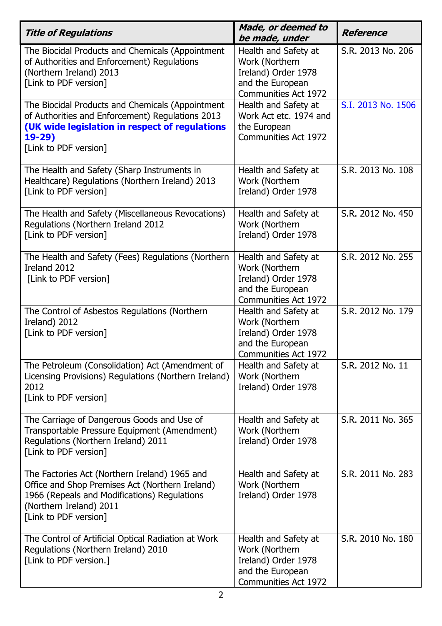| <b>Title of Regulations</b>                                                                                                                                                                          | Made, or deemed to<br>be made, under                                                                             | <b>Reference</b>   |
|------------------------------------------------------------------------------------------------------------------------------------------------------------------------------------------------------|------------------------------------------------------------------------------------------------------------------|--------------------|
| The Biocidal Products and Chemicals (Appointment<br>of Authorities and Enforcement) Regulations<br>(Northern Ireland) 2013<br>[Link to PDF version]                                                  | Health and Safety at<br>Work (Northern<br>Ireland) Order 1978<br>and the European<br><b>Communities Act 1972</b> | S.R. 2013 No. 206  |
| The Biocidal Products and Chemicals (Appointment<br>of Authorities and Enforcement) Regulations 2013<br>(UK wide legislation in respect of regulations<br>$19-29)$<br>[Link to PDF version]          | Health and Safety at<br>Work Act etc. 1974 and<br>the European<br><b>Communities Act 1972</b>                    | S.I. 2013 No. 1506 |
| The Health and Safety (Sharp Instruments in<br>Healthcare) Regulations (Northern Ireland) 2013<br>[Link to PDF version]                                                                              | Health and Safety at<br>Work (Northern<br>Ireland) Order 1978                                                    | S.R. 2013 No. 108  |
| The Health and Safety (Miscellaneous Revocations)<br>Regulations (Northern Ireland 2012<br>[Link to PDF version]                                                                                     | Health and Safety at<br>Work (Northern<br>Ireland) Order 1978                                                    | S.R. 2012 No. 450  |
| The Health and Safety (Fees) Regulations (Northern<br>Ireland 2012<br>[Link to PDF version]                                                                                                          | Health and Safety at<br>Work (Northern<br>Ireland) Order 1978<br>and the European<br><b>Communities Act 1972</b> | S.R. 2012 No. 255  |
| The Control of Asbestos Regulations (Northern<br>Ireland) 2012<br>[Link to PDF version]                                                                                                              | Health and Safety at<br>Work (Northern<br>Ireland) Order 1978<br>and the European<br>Communities Act 1972        | S.R. 2012 No. 179  |
| The Petroleum (Consolidation) Act (Amendment of<br>Licensing Provisions) Regulations (Northern Ireland)<br>2012<br>[Link to PDF version]                                                             | Health and Safety at<br>Work (Northern<br>Ireland) Order 1978                                                    | S.R. 2012 No. 11   |
| The Carriage of Dangerous Goods and Use of<br>Transportable Pressure Equipment (Amendment)<br>Regulations (Northern Ireland) 2011<br>[Link to PDF version]                                           | Health and Safety at<br>Work (Northern<br>Ireland) Order 1978                                                    | S.R. 2011 No. 365  |
| The Factories Act (Northern Ireland) 1965 and<br>Office and Shop Premises Act (Northern Ireland)<br>1966 (Repeals and Modifications) Regulations<br>(Northern Ireland) 2011<br>[Link to PDF version] | Health and Safety at<br>Work (Northern<br>Ireland) Order 1978                                                    | S.R. 2011 No. 283  |
| The Control of Artificial Optical Radiation at Work<br>Regulations (Northern Ireland) 2010<br>[Link to PDF version.]                                                                                 | Health and Safety at<br>Work (Northern<br>Ireland) Order 1978<br>and the European<br>Communities Act 1972        | S.R. 2010 No. 180  |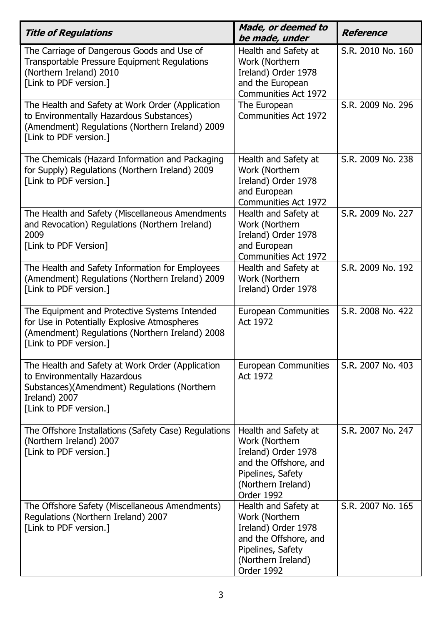| <b>Title of Regulations</b>                                                                                                                                                 | Made, or deemed to<br>be made, under                                                                                                            | <b>Reference</b>  |
|-----------------------------------------------------------------------------------------------------------------------------------------------------------------------------|-------------------------------------------------------------------------------------------------------------------------------------------------|-------------------|
| The Carriage of Dangerous Goods and Use of<br>Transportable Pressure Equipment Regulations<br>(Northern Ireland) 2010<br>[Link to PDF version.]                             | Health and Safety at<br>Work (Northern<br>Ireland) Order 1978<br>and the European<br><b>Communities Act 1972</b>                                | S.R. 2010 No. 160 |
| The Health and Safety at Work Order (Application<br>to Environmentally Hazardous Substances)<br>(Amendment) Regulations (Northern Ireland) 2009<br>[Link to PDF version.]   | The European<br><b>Communities Act 1972</b>                                                                                                     | S.R. 2009 No. 296 |
| The Chemicals (Hazard Information and Packaging<br>for Supply) Regulations (Northern Ireland) 2009<br>[Link to PDF version.]                                                | Health and Safety at<br>Work (Northern<br>Ireland) Order 1978<br>and European<br>Communities Act 1972                                           | S.R. 2009 No. 238 |
| The Health and Safety (Miscellaneous Amendments<br>and Revocation) Regulations (Northern Ireland)<br>2009<br>[Link to PDF Version]                                          | Health and Safety at<br>Work (Northern<br>Ireland) Order 1978<br>and European<br><b>Communities Act 1972</b>                                    | S.R. 2009 No. 227 |
| The Health and Safety Information for Employees<br>(Amendment) Regulations (Northern Ireland) 2009<br>[Link to PDF version.]                                                | Health and Safety at<br>Work (Northern<br>Ireland) Order 1978                                                                                   | S.R. 2009 No. 192 |
| The Equipment and Protective Systems Intended<br>for Use in Potentially Explosive Atmospheres<br>(Amendment) Regulations (Northern Ireland) 2008<br>[Link to PDF version.]  | <b>European Communities</b><br>Act 1972                                                                                                         | S.R. 2008 No. 422 |
| The Health and Safety at Work Order (Application<br>to Environmentally Hazardous<br>Substances)(Amendment) Regulations (Northern<br>Ireland) 2007<br>[Link to PDF version.] | European Communities<br>Act 1972                                                                                                                | S.R. 2007 No. 403 |
| The Offshore Installations (Safety Case) Regulations<br>(Northern Ireland) 2007<br>[Link to PDF version.]                                                                   | Health and Safety at<br>Work (Northern<br>Ireland) Order 1978<br>and the Offshore, and<br>Pipelines, Safety<br>(Northern Ireland)<br>Order 1992 | S.R. 2007 No. 247 |
| The Offshore Safety (Miscellaneous Amendments)<br>Regulations (Northern Ireland) 2007<br>[Link to PDF version.]                                                             | Health and Safety at<br>Work (Northern<br>Ireland) Order 1978<br>and the Offshore, and<br>Pipelines, Safety<br>(Northern Ireland)<br>Order 1992 | S.R. 2007 No. 165 |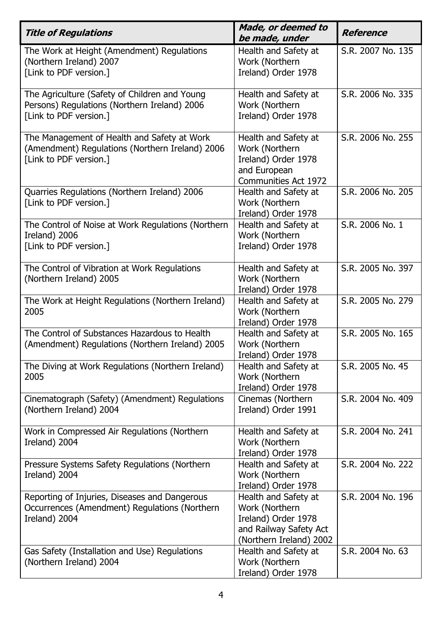| <b>Title of Regulations</b>                                                                                              | Made, or deemed to<br>be made, under                                                                               | <b>Reference</b>  |
|--------------------------------------------------------------------------------------------------------------------------|--------------------------------------------------------------------------------------------------------------------|-------------------|
| The Work at Height (Amendment) Regulations<br>(Northern Ireland) 2007<br>[Link to PDF version.]                          | Health and Safety at<br>Work (Northern<br>Ireland) Order 1978                                                      | S.R. 2007 No. 135 |
| The Agriculture (Safety of Children and Young<br>Persons) Regulations (Northern Ireland) 2006<br>[Link to PDF version.]  | Health and Safety at<br>Work (Northern<br>Ireland) Order 1978                                                      | S.R. 2006 No. 335 |
| The Management of Health and Safety at Work<br>(Amendment) Regulations (Northern Ireland) 2006<br>[Link to PDF version.] | Health and Safety at<br>Work (Northern<br>Ireland) Order 1978<br>and European<br><b>Communities Act 1972</b>       | S.R. 2006 No. 255 |
| Quarries Regulations (Northern Ireland) 2006<br>[Link to PDF version.]                                                   | Health and Safety at<br>Work (Northern<br>Ireland) Order 1978                                                      | S.R. 2006 No. 205 |
| The Control of Noise at Work Regulations (Northern<br>Ireland) 2006<br>[Link to PDF version.]                            | Health and Safety at<br>Work (Northern<br>Ireland) Order 1978                                                      | S.R. 2006 No. 1   |
| The Control of Vibration at Work Regulations<br>(Northern Ireland) 2005                                                  | Health and Safety at<br>Work (Northern<br>Ireland) Order 1978                                                      | S.R. 2005 No. 397 |
| The Work at Height Regulations (Northern Ireland)<br>2005                                                                | Health and Safety at<br>Work (Northern<br>Ireland) Order 1978                                                      | S.R. 2005 No. 279 |
| The Control of Substances Hazardous to Health<br>(Amendment) Regulations (Northern Ireland) 2005                         | Health and Safety at<br>Work (Northern<br>Ireland) Order 1978                                                      | S.R. 2005 No. 165 |
| The Diving at Work Regulations (Northern Ireland)<br>2005                                                                | Health and Safety at<br>Work (Northern<br>Ireland) Order 1978                                                      | S.R. 2005 No. 45  |
| Cinematograph (Safety) (Amendment) Regulations<br>(Northern Ireland) 2004                                                | Cinemas (Northern<br>Ireland) Order 1991                                                                           | S.R. 2004 No. 409 |
| Work in Compressed Air Regulations (Northern<br>Ireland) 2004                                                            | Health and Safety at<br>Work (Northern<br>Ireland) Order 1978                                                      | S.R. 2004 No. 241 |
| Pressure Systems Safety Regulations (Northern)<br>Ireland) 2004                                                          | Health and Safety at<br>Work (Northern<br>Ireland) Order 1978                                                      | S.R. 2004 No. 222 |
| Reporting of Injuries, Diseases and Dangerous<br>Occurrences (Amendment) Regulations (Northern<br>Ireland) 2004          | Health and Safety at<br>Work (Northern<br>Ireland) Order 1978<br>and Railway Safety Act<br>(Northern Ireland) 2002 | S.R. 2004 No. 196 |
| Gas Safety (Installation and Use) Regulations<br>(Northern Ireland) 2004                                                 | Health and Safety at<br>Work (Northern<br>Ireland) Order 1978                                                      | S.R. 2004 No. 63  |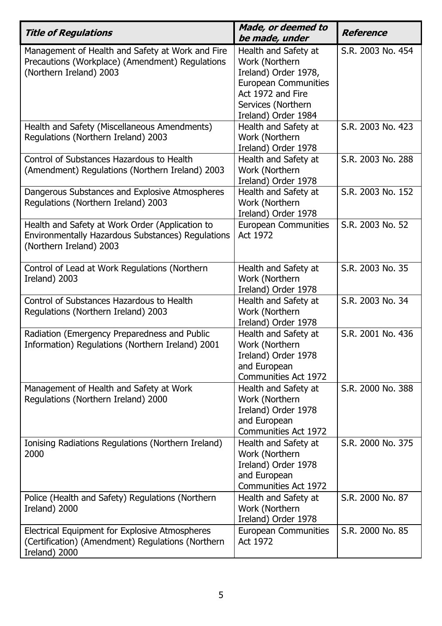| <b>Title of Regulations</b>                                                                                                     | Made, or deemed to<br>be made, under                                                                                                                            | <b>Reference</b>  |
|---------------------------------------------------------------------------------------------------------------------------------|-----------------------------------------------------------------------------------------------------------------------------------------------------------------|-------------------|
| Management of Health and Safety at Work and Fire<br>Precautions (Workplace) (Amendment) Regulations<br>(Northern Ireland) 2003  | Health and Safety at<br>Work (Northern<br>Ireland) Order 1978,<br><b>European Communities</b><br>Act 1972 and Fire<br>Services (Northern<br>Ireland) Order 1984 | S.R. 2003 No. 454 |
| Health and Safety (Miscellaneous Amendments)<br>Regulations (Northern Ireland) 2003                                             | Health and Safety at<br>Work (Northern<br>Ireland) Order 1978                                                                                                   | S.R. 2003 No. 423 |
| Control of Substances Hazardous to Health<br>(Amendment) Regulations (Northern Ireland) 2003                                    | Health and Safety at<br>Work (Northern<br>Ireland) Order 1978                                                                                                   | S.R. 2003 No. 288 |
| Dangerous Substances and Explosive Atmospheres<br>Regulations (Northern Ireland) 2003                                           | Health and Safety at<br>Work (Northern<br>Ireland) Order 1978                                                                                                   | S.R. 2003 No. 152 |
| Health and Safety at Work Order (Application to<br>Environmentally Hazardous Substances) Regulations<br>(Northern Ireland) 2003 | <b>European Communities</b><br>Act 1972                                                                                                                         | S.R. 2003 No. 52  |
| Control of Lead at Work Regulations (Northern<br>Ireland) 2003                                                                  | Health and Safety at<br>Work (Northern<br>Ireland) Order 1978                                                                                                   | S.R. 2003 No. 35  |
| Control of Substances Hazardous to Health<br>Regulations (Northern Ireland) 2003                                                | Health and Safety at<br>Work (Northern<br>Ireland) Order 1978                                                                                                   | S.R. 2003 No. 34  |
| Radiation (Emergency Preparedness and Public<br>Information) Regulations (Northern Ireland) 2001                                | Health and Safety at<br>Work (Northern<br>Ireland) Order 1978<br>and European<br>Communities Act 1972                                                           | S.R. 2001 No. 436 |
| Management of Health and Safety at Work<br>Regulations (Northern Ireland) 2000                                                  | Health and Safety at<br>Work (Northern<br>Ireland) Order 1978<br>and European<br><b>Communities Act 1972</b>                                                    | S.R. 2000 No. 388 |
| Ionising Radiations Regulations (Northern Ireland)<br>2000                                                                      | Health and Safety at<br>Work (Northern<br>Ireland) Order 1978<br>and European<br><b>Communities Act 1972</b>                                                    | S.R. 2000 No. 375 |
| Police (Health and Safety) Regulations (Northern<br>Ireland) 2000                                                               | Health and Safety at<br>Work (Northern<br>Ireland) Order 1978                                                                                                   | S.R. 2000 No. 87  |
| Electrical Equipment for Explosive Atmospheres<br>(Certification) (Amendment) Regulations (Northern<br>Ireland) 2000            | <b>European Communities</b><br>Act 1972                                                                                                                         | S.R. 2000 No. 85  |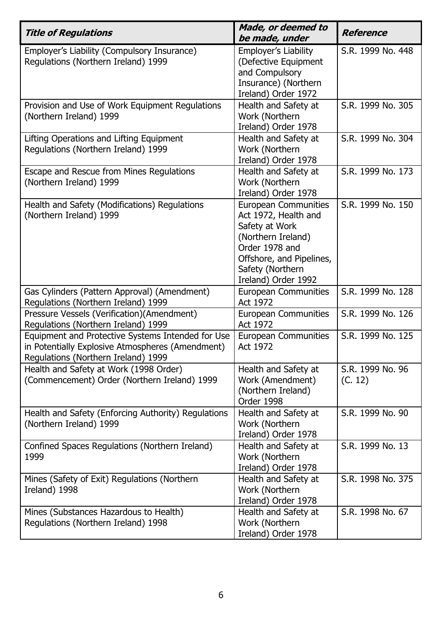| <b>Title of Regulations</b>                                                                                                                  | Made, or deemed to<br>be made, under                                                                                                                                                 | <b>Reference</b>            |
|----------------------------------------------------------------------------------------------------------------------------------------------|--------------------------------------------------------------------------------------------------------------------------------------------------------------------------------------|-----------------------------|
| Employer's Liability (Compulsory Insurance)<br>Regulations (Northern Ireland) 1999                                                           | <b>Employer's Liability</b><br>(Defective Equipment<br>and Compulsory<br>Insurance) (Northern<br>Ireland) Order 1972                                                                 | S.R. 1999 No. 448           |
| Provision and Use of Work Equipment Regulations<br>(Northern Ireland) 1999                                                                   | Health and Safety at<br>Work (Northern<br>Ireland) Order 1978                                                                                                                        | S.R. 1999 No. 305           |
| Lifting Operations and Lifting Equipment<br>Regulations (Northern Ireland) 1999                                                              | Health and Safety at<br>Work (Northern<br>Ireland) Order 1978                                                                                                                        | S.R. 1999 No. 304           |
| Escape and Rescue from Mines Regulations<br>(Northern Ireland) 1999                                                                          | Health and Safety at<br>Work (Northern<br>Ireland) Order 1978                                                                                                                        | S.R. 1999 No. 173           |
| Health and Safety (Modifications) Regulations<br>(Northern Ireland) 1999                                                                     | <b>European Communities</b><br>Act 1972, Health and<br>Safety at Work<br>(Northern Ireland)<br>Order 1978 and<br>Offshore, and Pipelines,<br>Safety (Northern<br>Ireland) Order 1992 | S.R. 1999 No. 150           |
| Gas Cylinders (Pattern Approval) (Amendment)<br>Regulations (Northern Ireland) 1999                                                          | <b>European Communities</b><br>Act 1972                                                                                                                                              | S.R. 1999 No. 128           |
| Pressure Vessels (Verification)(Amendment)<br>Regulations (Northern Ireland) 1999                                                            | <b>European Communities</b><br>Act 1972                                                                                                                                              | S.R. 1999 No. 126           |
| Equipment and Protective Systems Intended for Use<br>in Potentially Explosive Atmospheres (Amendment)<br>Regulations (Northern Ireland) 1999 | <b>European Communities</b><br>Act 1972                                                                                                                                              | S.R. 1999 No. 125           |
| Health and Safety at Work (1998 Order)<br>(Commencement) Order (Northern Ireland) 1999                                                       | Health and Safety at<br>Work (Amendment)<br>(Northern Ireland)<br>Order 1998                                                                                                         | S.R. 1999 No. 96<br>(C. 12) |
| Health and Safety (Enforcing Authority) Regulations<br>(Northern Ireland) 1999                                                               | Health and Safety at<br>Work (Northern<br>Ireland) Order 1978                                                                                                                        | S.R. 1999 No. 90            |
| Confined Spaces Regulations (Northern Ireland)<br>1999                                                                                       | Health and Safety at<br>Work (Northern<br>Ireland) Order 1978                                                                                                                        | S.R. 1999 No. 13            |
| Mines (Safety of Exit) Regulations (Northern<br>Ireland) 1998                                                                                | Health and Safety at<br>Work (Northern<br>Ireland) Order 1978                                                                                                                        | S.R. 1998 No. 375           |
| Mines (Substances Hazardous to Health)<br>Regulations (Northern Ireland) 1998                                                                | Health and Safety at<br>Work (Northern<br>Ireland) Order 1978                                                                                                                        | S.R. 1998 No. 67            |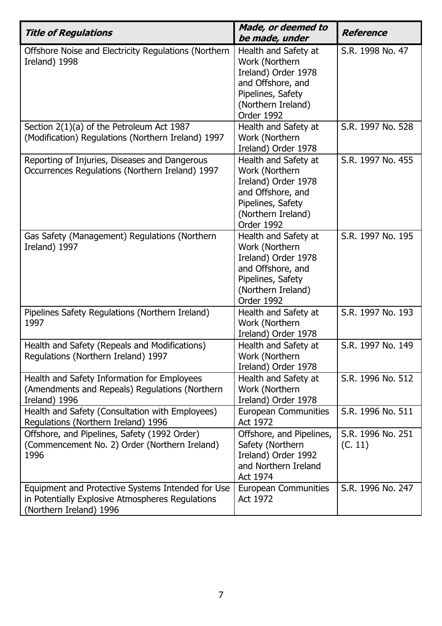| <b>Title of Regulations</b>                                                                                                      | Made, or deemed to<br>be made, under                                                                                                        | <b>Reference</b>             |
|----------------------------------------------------------------------------------------------------------------------------------|---------------------------------------------------------------------------------------------------------------------------------------------|------------------------------|
| Offshore Noise and Electricity Regulations (Northern<br>Ireland) 1998                                                            | Health and Safety at<br>Work (Northern<br>Ireland) Order 1978<br>and Offshore, and<br>Pipelines, Safety<br>(Northern Ireland)<br>Order 1992 | S.R. 1998 No. 47             |
| Section 2(1)(a) of the Petroleum Act 1987<br>(Modification) Regulations (Northern Ireland) 1997                                  | Health and Safety at<br>Work (Northern<br>Ireland) Order 1978                                                                               | S.R. 1997 No. 528            |
| Reporting of Injuries, Diseases and Dangerous<br>Occurrences Regulations (Northern Ireland) 1997                                 | Health and Safety at<br>Work (Northern<br>Ireland) Order 1978<br>and Offshore, and<br>Pipelines, Safety<br>(Northern Ireland)<br>Order 1992 | S.R. 1997 No. 455            |
| Gas Safety (Management) Regulations (Northern<br>Ireland) 1997                                                                   | Health and Safety at<br>Work (Northern<br>Ireland) Order 1978<br>and Offshore, and<br>Pipelines, Safety<br>(Northern Ireland)<br>Order 1992 | S.R. 1997 No. 195            |
| Pipelines Safety Regulations (Northern Ireland)<br>1997                                                                          | Health and Safety at<br>Work (Northern<br>Ireland) Order 1978                                                                               | S.R. 1997 No. 193            |
| Health and Safety (Repeals and Modifications)<br>Regulations (Northern Ireland) 1997                                             | Health and Safety at<br>Work (Northern<br>Ireland) Order 1978                                                                               | S.R. 1997 No. 149            |
| Health and Safety Information for Employees<br>(Amendments and Repeals) Regulations (Northern<br>Ireland) 1996                   | Health and Safety at<br>Work (Northern<br>Ireland) Order 1978                                                                               | S.R. 1996 No. 512            |
| Health and Safety (Consultation with Employees)<br>Regulations (Northern Ireland) 1996                                           | <b>European Communities</b><br>Act 1972                                                                                                     | S.R. 1996 No. 511            |
| Offshore, and Pipelines, Safety (1992 Order)<br>(Commencement No. 2) Order (Northern Ireland)<br>1996                            | Offshore, and Pipelines,<br>Safety (Northern<br>Ireland) Order 1992<br>and Northern Ireland<br>Act 1974                                     | S.R. 1996 No. 251<br>(C. 11) |
| Equipment and Protective Systems Intended for Use<br>in Potentially Explosive Atmospheres Regulations<br>(Northern Ireland) 1996 | <b>European Communities</b><br>Act 1972                                                                                                     | S.R. 1996 No. 247            |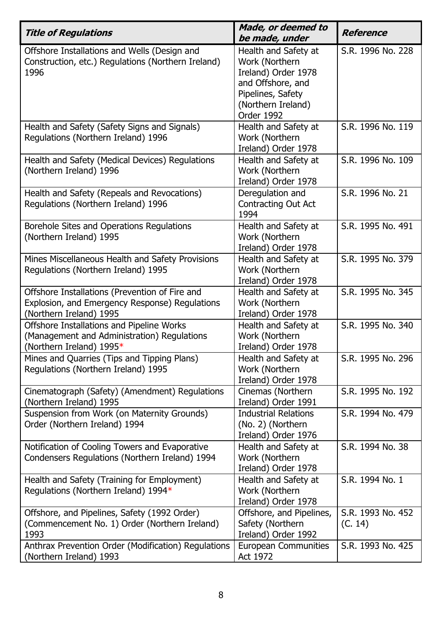| <b>Title of Regulations</b>                                                                                                 | Made, or deemed to<br>be made, under                                                                                                        | <b>Reference</b>             |
|-----------------------------------------------------------------------------------------------------------------------------|---------------------------------------------------------------------------------------------------------------------------------------------|------------------------------|
| Offshore Installations and Wells (Design and<br>Construction, etc.) Regulations (Northern Ireland)<br>1996                  | Health and Safety at<br>Work (Northern<br>Ireland) Order 1978<br>and Offshore, and<br>Pipelines, Safety<br>(Northern Ireland)<br>Order 1992 | S.R. 1996 No. 228            |
| Health and Safety (Safety Signs and Signals)<br>Regulations (Northern Ireland) 1996                                         | Health and Safety at<br>Work (Northern<br>Ireland) Order 1978                                                                               | S.R. 1996 No. 119            |
| Health and Safety (Medical Devices) Regulations<br>(Northern Ireland) 1996                                                  | Health and Safety at<br>Work (Northern<br>Ireland) Order 1978                                                                               | S.R. 1996 No. 109            |
| Health and Safety (Repeals and Revocations)<br>Regulations (Northern Ireland) 1996                                          | Deregulation and<br><b>Contracting Out Act</b><br>1994                                                                                      | S.R. 1996 No. 21             |
| Borehole Sites and Operations Regulations<br>(Northern Ireland) 1995                                                        | Health and Safety at<br>Work (Northern<br>Ireland) Order 1978                                                                               | S.R. 1995 No. 491            |
| Mines Miscellaneous Health and Safety Provisions<br>Regulations (Northern Ireland) 1995                                     | Health and Safety at<br>Work (Northern<br>Ireland) Order 1978                                                                               | S.R. 1995 No. 379            |
| Offshore Installations (Prevention of Fire and<br>Explosion, and Emergency Response) Regulations<br>(Northern Ireland) 1995 | Health and Safety at<br>Work (Northern<br>Ireland) Order 1978                                                                               | S.R. 1995 No. 345            |
| Offshore Installations and Pipeline Works<br>(Management and Administration) Regulations<br>(Northern Ireland) 1995*        | Health and Safety at<br>Work (Northern<br>Ireland) Order 1978                                                                               | S.R. 1995 No. 340            |
| Mines and Quarries (Tips and Tipping Plans)<br>Regulations (Northern Ireland) 1995                                          | Health and Safety at<br>Work (Northern<br>Ireland) Order 1978                                                                               | S.R. 1995 No. 296            |
| Cinematograph (Safety) (Amendment) Regulations<br>(Northern Ireland) 1995                                                   | Cinemas (Northern<br>Ireland) Order 1991                                                                                                    | S.R. 1995 No. 192            |
| Suspension from Work (on Maternity Grounds)<br>Order (Northern Ireland) 1994                                                | <b>Industrial Relations</b><br>(No. 2) (Northern<br>Ireland) Order 1976                                                                     | S.R. 1994 No. 479            |
| Notification of Cooling Towers and Evaporative<br>Condensers Regulations (Northern Ireland) 1994                            | Health and Safety at<br>Work (Northern<br>Ireland) Order 1978                                                                               | S.R. 1994 No. 38             |
| Health and Safety (Training for Employment)<br>Regulations (Northern Ireland) 1994*                                         | Health and Safety at<br>Work (Northern<br>Ireland) Order 1978                                                                               | S.R. 1994 No. 1              |
| Offshore, and Pipelines, Safety (1992 Order)<br>(Commencement No. 1) Order (Northern Ireland)<br>1993                       | Offshore, and Pipelines,<br>Safety (Northern<br>Ireland) Order 1992                                                                         | S.R. 1993 No. 452<br>(C. 14) |
| Anthrax Prevention Order (Modification) Regulations<br>(Northern Ireland) 1993                                              | <b>European Communities</b><br>Act 1972                                                                                                     | S.R. 1993 No. 425            |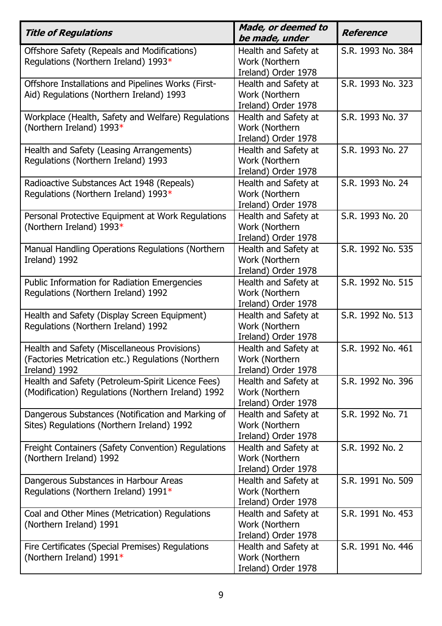| <b>Title of Regulations</b>                                                                                         | Made, or deemed to<br>be made, under                          | Reference         |
|---------------------------------------------------------------------------------------------------------------------|---------------------------------------------------------------|-------------------|
| Offshore Safety (Repeals and Modifications)<br>Regulations (Northern Ireland) 1993*                                 | Health and Safety at<br>Work (Northern<br>Ireland) Order 1978 | S.R. 1993 No. 384 |
| Offshore Installations and Pipelines Works (First-<br>Aid) Regulations (Northern Ireland) 1993                      | Health and Safety at<br>Work (Northern<br>Ireland) Order 1978 | S.R. 1993 No. 323 |
| Workplace (Health, Safety and Welfare) Regulations<br>(Northern Ireland) 1993*                                      | Health and Safety at<br>Work (Northern<br>Ireland) Order 1978 | S.R. 1993 No. 37  |
| Health and Safety (Leasing Arrangements)<br>Regulations (Northern Ireland) 1993                                     | Health and Safety at<br>Work (Northern<br>Ireland) Order 1978 | S.R. 1993 No. 27  |
| Radioactive Substances Act 1948 (Repeals)<br>Regulations (Northern Ireland) 1993*                                   | Health and Safety at<br>Work (Northern<br>Ireland) Order 1978 | S.R. 1993 No. 24  |
| Personal Protective Equipment at Work Regulations<br>(Northern Ireland) 1993*                                       | Health and Safety at<br>Work (Northern<br>Ireland) Order 1978 | S.R. 1993 No. 20  |
| Manual Handling Operations Regulations (Northern<br>Ireland) 1992                                                   | Health and Safety at<br>Work (Northern<br>Ireland) Order 1978 | S.R. 1992 No. 535 |
| Public Information for Radiation Emergencies<br>Regulations (Northern Ireland) 1992                                 | Health and Safety at<br>Work (Northern<br>Ireland) Order 1978 | S.R. 1992 No. 515 |
| Health and Safety (Display Screen Equipment)<br>Regulations (Northern Ireland) 1992                                 | Health and Safety at<br>Work (Northern<br>Ireland) Order 1978 | S.R. 1992 No. 513 |
| Health and Safety (Miscellaneous Provisions)<br>(Factories Metrication etc.) Regulations (Northern<br>Ireland) 1992 | Health and Safety at<br>Work (Northern<br>Ireland) Order 1978 | S.R. 1992 No. 461 |
| Health and Safety (Petroleum-Spirit Licence Fees)<br>(Modification) Regulations (Northern Ireland) 1992             | Health and Safety at<br>Work (Northern<br>Ireland) Order 1978 | S.R. 1992 No. 396 |
| Dangerous Substances (Notification and Marking of<br>Sites) Regulations (Northern Ireland) 1992                     | Health and Safety at<br>Work (Northern<br>Ireland) Order 1978 | S.R. 1992 No. 71  |
| Freight Containers (Safety Convention) Regulations<br>(Northern Ireland) 1992                                       | Health and Safety at<br>Work (Northern<br>Ireland) Order 1978 | S.R. 1992 No. 2   |
| Dangerous Substances in Harbour Areas<br>Regulations (Northern Ireland) 1991*                                       | Health and Safety at<br>Work (Northern<br>Ireland) Order 1978 | S.R. 1991 No. 509 |
| Coal and Other Mines (Metrication) Regulations<br>(Northern Ireland) 1991                                           | Health and Safety at<br>Work (Northern<br>Ireland) Order 1978 | S.R. 1991 No. 453 |
| Fire Certificates (Special Premises) Regulations<br>(Northern Ireland) 1991*                                        | Health and Safety at<br>Work (Northern<br>Ireland) Order 1978 | S.R. 1991 No. 446 |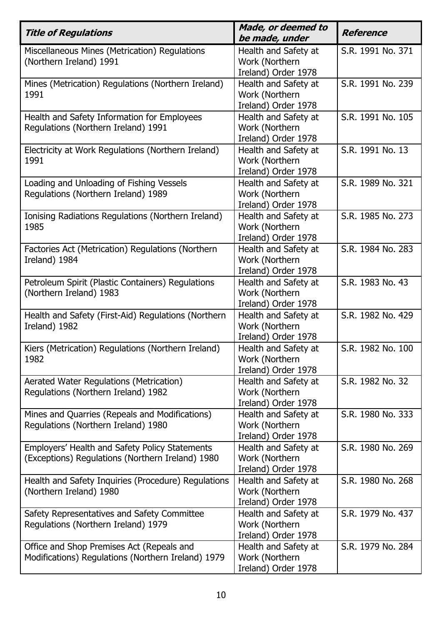| <b>Title of Regulations</b>                                                                        | Made, or deemed to<br>be made, under                          | Reference         |
|----------------------------------------------------------------------------------------------------|---------------------------------------------------------------|-------------------|
| Miscellaneous Mines (Metrication) Regulations<br>(Northern Ireland) 1991                           | Health and Safety at<br>Work (Northern<br>Ireland) Order 1978 | S.R. 1991 No. 371 |
| Mines (Metrication) Regulations (Northern Ireland)<br>1991                                         | Health and Safety at<br>Work (Northern<br>Ireland) Order 1978 | S.R. 1991 No. 239 |
| Health and Safety Information for Employees<br>Regulations (Northern Ireland) 1991                 | Health and Safety at<br>Work (Northern<br>Ireland) Order 1978 | S.R. 1991 No. 105 |
| Electricity at Work Regulations (Northern Ireland)<br>1991                                         | Health and Safety at<br>Work (Northern<br>Ireland) Order 1978 | S.R. 1991 No. 13  |
| Loading and Unloading of Fishing Vessels<br>Regulations (Northern Ireland) 1989                    | Health and Safety at<br>Work (Northern<br>Ireland) Order 1978 | S.R. 1989 No. 321 |
| Ionising Radiations Regulations (Northern Ireland)<br>1985                                         | Health and Safety at<br>Work (Northern<br>Ireland) Order 1978 | S.R. 1985 No. 273 |
| Factories Act (Metrication) Regulations (Northern<br>Ireland) 1984                                 | Health and Safety at<br>Work (Northern<br>Ireland) Order 1978 | S.R. 1984 No. 283 |
| Petroleum Spirit (Plastic Containers) Regulations<br>(Northern Ireland) 1983                       | Health and Safety at<br>Work (Northern<br>Ireland) Order 1978 | S.R. 1983 No. 43  |
| Health and Safety (First-Aid) Regulations (Northern<br>Ireland) 1982                               | Health and Safety at<br>Work (Northern<br>Ireland) Order 1978 | S.R. 1982 No. 429 |
| Kiers (Metrication) Regulations (Northern Ireland)<br>1982                                         | Health and Safety at<br>Work (Northern<br>Ireland) Order 1978 | S.R. 1982 No. 100 |
| Aerated Water Regulations (Metrication)<br>Regulations (Northern Ireland) 1982                     | Health and Safety at<br>Work (Northern<br>Ireland) Order 1978 | S.R. 1982 No. 32  |
| Mines and Quarries (Repeals and Modifications)<br>Regulations (Northern Ireland) 1980              | Health and Safety at<br>Work (Northern<br>Ireland) Order 1978 | S.R. 1980 No. 333 |
| Employers' Health and Safety Policy Statements<br>(Exceptions) Regulations (Northern Ireland) 1980 | Health and Safety at<br>Work (Northern<br>Ireland) Order 1978 | S.R. 1980 No. 269 |
| Health and Safety Inquiries (Procedure) Regulations<br>(Northern Ireland) 1980                     | Health and Safety at<br>Work (Northern<br>Ireland) Order 1978 | S.R. 1980 No. 268 |
| Safety Representatives and Safety Committee<br>Regulations (Northern Ireland) 1979                 | Health and Safety at<br>Work (Northern<br>Ireland) Order 1978 | S.R. 1979 No. 437 |
| Office and Shop Premises Act (Repeals and<br>Modifications) Regulations (Northern Ireland) 1979    | Health and Safety at<br>Work (Northern<br>Ireland) Order 1978 | S.R. 1979 No. 284 |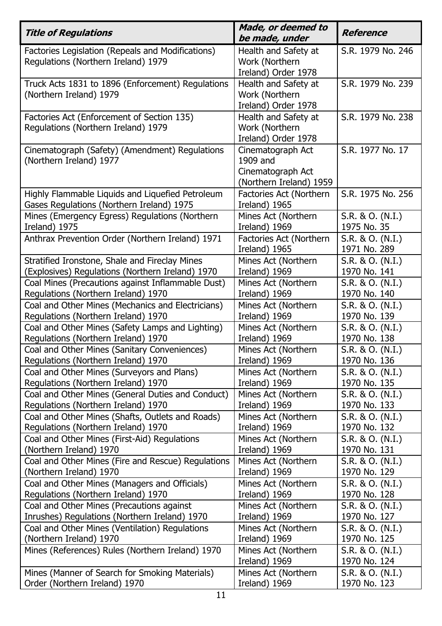| <b>Title of Regulations</b>                                                                   | Made, or deemed to<br>be made, under                                          | Reference                        |
|-----------------------------------------------------------------------------------------------|-------------------------------------------------------------------------------|----------------------------------|
| Factories Legislation (Repeals and Modifications)<br>Regulations (Northern Ireland) 1979      | Health and Safety at<br>Work (Northern<br>Ireland) Order 1978                 | S.R. 1979 No. 246                |
| Truck Acts 1831 to 1896 (Enforcement) Regulations<br>(Northern Ireland) 1979                  | Health and Safety at<br>Work (Northern<br>Ireland) Order 1978                 | S.R. 1979 No. 239                |
| Factories Act (Enforcement of Section 135)<br>Regulations (Northern Ireland) 1979             | Health and Safety at<br>Work (Northern<br>Ireland) Order 1978                 | S.R. 1979 No. 238                |
| Cinematograph (Safety) (Amendment) Regulations<br>(Northern Ireland) 1977                     | Cinematograph Act<br>1909 and<br>Cinematograph Act<br>(Northern Ireland) 1959 | S.R. 1977 No. 17                 |
| Highly Flammable Liquids and Liquefied Petroleum<br>Gases Regulations (Northern Ireland) 1975 | Factories Act (Northern<br>Ireland) 1965                                      | S.R. 1975 No. 256                |
| Mines (Emergency Egress) Regulations (Northern                                                | Mines Act (Northern                                                           | S.R. & O. (N.I.)                 |
| Ireland) 1975                                                                                 | Ireland) 1969                                                                 | 1975 No. 35                      |
| Anthrax Prevention Order (Northern Ireland) 1971                                              | Factories Act (Northern<br>Ireland) 1965                                      | S.R. & O. (N.I.)<br>1971 No. 289 |
| Stratified Ironstone, Shale and Fireclay Mines                                                | Mines Act (Northern                                                           | S.R. & O. (N.I.)                 |
| (Explosives) Regulations (Northern Ireland) 1970                                              | Ireland) 1969                                                                 | 1970 No. 141                     |
| Coal Mines (Precautions against Inflammable Dust)                                             | Mines Act (Northern                                                           | S.R. & O. (N.I.)                 |
| Regulations (Northern Ireland) 1970                                                           | Ireland) 1969                                                                 | 1970 No. 140                     |
| Coal and Other Mines (Mechanics and Electricians)                                             | Mines Act (Northern                                                           | S.R. & O. (N.I.)                 |
| Regulations (Northern Ireland) 1970                                                           | Ireland) 1969                                                                 | 1970 No. 139                     |
| Coal and Other Mines (Safety Lamps and Lighting)                                              | Mines Act (Northern                                                           | S.R. & O. (N.I.)                 |
| Regulations (Northern Ireland) 1970                                                           | Ireland) 1969                                                                 | 1970 No. 138                     |
| Coal and Other Mines (Sanitary Conveniences)                                                  | Mines Act (Northern                                                           | S.R. & O. (N.I.)                 |
| Regulations (Northern Ireland) 1970                                                           | Ireland) 1969                                                                 | 1970 No. 136                     |
| Coal and Other Mines (Surveyors and Plans)                                                    | Mines Act (Northern                                                           | S.R. & O. (N.I.)                 |
| Regulations (Northern Ireland) 1970                                                           | Ireland) 1969                                                                 | 1970 No. 135                     |
| Coal and Other Mines (General Duties and Conduct)                                             | Mines Act (Northern                                                           | S.R. & O. (N.I.)                 |
| Regulations (Northern Ireland) 1970                                                           | Ireland) 1969                                                                 | 1970 No. 133                     |
| Coal and Other Mines (Shafts, Outlets and Roads)                                              | Mines Act (Northern                                                           | S.R. & O. (N.I.)                 |
| Regulations (Northern Ireland) 1970                                                           | Ireland) 1969                                                                 | 1970 No. 132                     |
| Coal and Other Mines (First-Aid) Regulations                                                  | Mines Act (Northern                                                           | S.R. & O. (N.I.)                 |
| (Northern Ireland) 1970                                                                       | Ireland) 1969                                                                 | 1970 No. 131                     |
| Coal and Other Mines (Fire and Rescue) Regulations                                            | Mines Act (Northern                                                           | S.R. & O. (N.I.)                 |
| (Northern Ireland) 1970                                                                       | Ireland) 1969                                                                 | 1970 No. 129                     |
| Coal and Other Mines (Managers and Officials)                                                 | Mines Act (Northern                                                           | S.R. & O. (N.I.)                 |
| Regulations (Northern Ireland) 1970                                                           | Ireland) 1969                                                                 | 1970 No. 128                     |
| Coal and Other Mines (Precautions against                                                     | Mines Act (Northern                                                           | S.R. & O. (N.I.)                 |
| Inrushes) Regulations (Northern Ireland) 1970                                                 | Ireland) 1969                                                                 | 1970 No. 127                     |
| Coal and Other Mines (Ventilation) Regulations                                                | Mines Act (Northern                                                           | S.R. & O. (N.I.)                 |
| (Northern Ireland) 1970                                                                       | Ireland) 1969                                                                 | 1970 No. 125                     |
| Mines (References) Rules (Northern Ireland) 1970                                              | Mines Act (Northern<br>Ireland) 1969                                          | S.R. & O. (N.I.)<br>1970 No. 124 |
| Mines (Manner of Search for Smoking Materials)                                                | Mines Act (Northern                                                           | S.R. & O. (N.I.)                 |
| Order (Northern Ireland) 1970                                                                 | Ireland) 1969                                                                 | 1970 No. 123                     |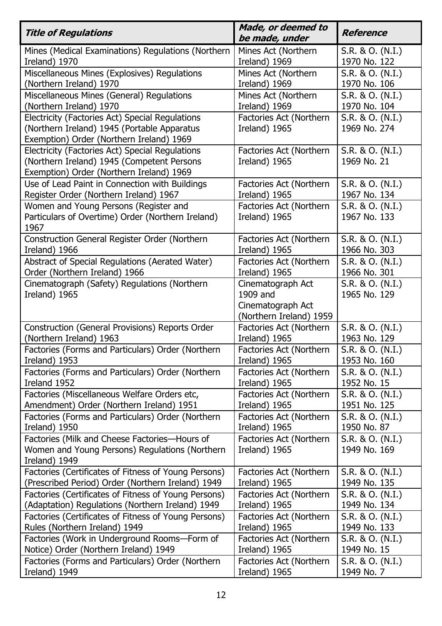| <b>Title of Regulations</b>                                                                                                                | Made, or deemed to<br>be made, under                                          | <b>Reference</b>                 |
|--------------------------------------------------------------------------------------------------------------------------------------------|-------------------------------------------------------------------------------|----------------------------------|
| Mines (Medical Examinations) Regulations (Northern                                                                                         | Mines Act (Northern                                                           | S.R. & O. (N.I.)                 |
| Ireland) 1970                                                                                                                              | Ireland) 1969                                                                 | 1970 No. 122                     |
| Miscellaneous Mines (Explosives) Regulations                                                                                               | Mines Act (Northern                                                           | S.R. & O. (N.I.)                 |
| (Northern Ireland) 1970                                                                                                                    | Ireland) 1969                                                                 | 1970 No. 106                     |
| Miscellaneous Mines (General) Regulations                                                                                                  | Mines Act (Northern                                                           | S.R. & O. (N.I.)                 |
| (Northern Ireland) 1970                                                                                                                    | Ireland) 1969                                                                 | 1970 No. 104                     |
| Electricity (Factories Act) Special Regulations<br>(Northern Ireland) 1945 (Portable Apparatus<br>Exemption) Order (Northern Ireland) 1969 | Factories Act (Northern<br>Ireland) 1965                                      | S.R. & O. (N.I.)<br>1969 No. 274 |
| Electricity (Factories Act) Special Regulations<br>(Northern Ireland) 1945 (Competent Persons<br>Exemption) Order (Northern Ireland) 1969  | Factories Act (Northern<br>Ireland) 1965                                      | S.R. & O. (N.I.)<br>1969 No. 21  |
| Use of Lead Paint in Connection with Buildings                                                                                             | Factories Act (Northern                                                       | S.R. & O. (N.I.)                 |
| Register Order (Northern Ireland) 1967                                                                                                     | Ireland) 1965                                                                 | 1967 No. 134                     |
| Women and Young Persons (Register and<br>Particulars of Overtime) Order (Northern Ireland)<br>1967                                         | Factories Act (Northern<br>Ireland) 1965                                      | S.R. & O. (N.I.)<br>1967 No. 133 |
| Construction General Register Order (Northern                                                                                              | Factories Act (Northern                                                       | S.R. & O. (N.I.)                 |
| Ireland) 1966                                                                                                                              | Ireland) 1965                                                                 | 1966 No. 303                     |
| Abstract of Special Regulations (Aerated Water)                                                                                            | Factories Act (Northern                                                       | S.R. & O. (N.I.)                 |
| Order (Northern Ireland) 1966                                                                                                              | Ireland) 1965                                                                 | 1966 No. 301                     |
| Cinematograph (Safety) Regulations (Northern<br>Ireland) 1965                                                                              | Cinematograph Act<br>1909 and<br>Cinematograph Act<br>(Northern Ireland) 1959 | S.R. & O. (N.I.)<br>1965 No. 129 |
| Construction (General Provisions) Reports Order                                                                                            | Factories Act (Northern                                                       | S.R. & O. (N.I.)                 |
| (Northern Ireland) 1963                                                                                                                    | Ireland) 1965                                                                 | 1963 No. 129                     |
| Factories (Forms and Particulars) Order (Northern                                                                                          | <b>Factories Act (Northern</b>                                                | S.R. & O. (N.I.)                 |
| Ireland) 1953                                                                                                                              | Ireland) 1965                                                                 | 1953 No. 160                     |
| Factories (Forms and Particulars) Order (Northern                                                                                          | Factories Act (Northern                                                       | S.R. & O. (N.I.)                 |
| Ireland 1952                                                                                                                               | Ireland) 1965                                                                 | 1952 No. 15                      |
| Factories (Miscellaneous Welfare Orders etc,                                                                                               | Factories Act (Northern                                                       | S.R. & O. (N.I.)                 |
| Amendment) Order (Northern Ireland) 1951                                                                                                   | Ireland) 1965                                                                 | 1951 No. 125                     |
| Factories (Forms and Particulars) Order (Northern                                                                                          | Factories Act (Northern                                                       | S.R. & O. (N.I.)                 |
| Ireland) 1950                                                                                                                              | Ireland) 1965                                                                 | 1950 No. 87                      |
| Factories (Milk and Cheese Factories-Hours of<br>Women and Young Persons) Regulations (Northern<br>Ireland) 1949                           | Factories Act (Northern<br>Ireland) 1965                                      | S.R. & O. (N.I.)<br>1949 No. 169 |
| Factories (Certificates of Fitness of Young Persons)                                                                                       | Factories Act (Northern                                                       | S.R. & O. (N.I.)                 |
| (Prescribed Period) Order (Northern Ireland) 1949                                                                                          | Ireland) 1965                                                                 | 1949 No. 135                     |
| Factories (Certificates of Fitness of Young Persons)                                                                                       | Factories Act (Northern                                                       | S.R. & O. (N.I.)                 |
| (Adaptation) Regulations (Northern Ireland) 1949                                                                                           | Ireland) 1965                                                                 | 1949 No. 134                     |
| Factories (Certificates of Fitness of Young Persons)                                                                                       | Factories Act (Northern                                                       | S.R. & O. (N.I.)                 |
| Rules (Northern Ireland) 1949                                                                                                              | Ireland) 1965                                                                 | 1949 No. 133                     |
| Factories (Work in Underground Rooms-Form of                                                                                               | Factories Act (Northern                                                       | S.R. & O. (N.I.)                 |
| Notice) Order (Northern Ireland) 1949                                                                                                      | Ireland) 1965                                                                 | 1949 No. 15                      |
| Factories (Forms and Particulars) Order (Northern                                                                                          | Factories Act (Northern                                                       | S.R. & O. (N.I.)                 |
| Ireland) 1949                                                                                                                              | Ireland) 1965                                                                 | 1949 No. 7                       |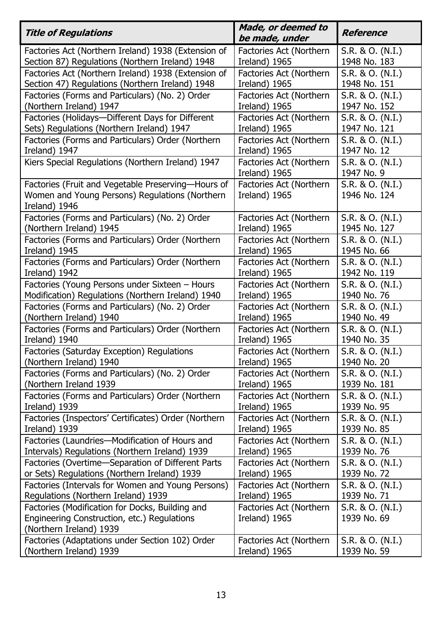| <b>Title of Regulations</b>                                                | Made, or deemed to<br>be made, under     | <b>Reference</b>                 |
|----------------------------------------------------------------------------|------------------------------------------|----------------------------------|
| Factories Act (Northern Ireland) 1938 (Extension of                        | Factories Act (Northern                  | S.R. & O. (N.I.)                 |
| Section 87) Regulations (Northern Ireland) 1948                            | Ireland) 1965                            | 1948 No. 183                     |
| Factories Act (Northern Ireland) 1938 (Extension of                        | Factories Act (Northern                  | S.R. & O. (N.I.)                 |
| Section 47) Regulations (Northern Ireland) 1948                            | Ireland) 1965                            | 1948 No. 151                     |
| Factories (Forms and Particulars) (No. 2) Order                            | Factories Act (Northern                  | S.R. & O. (N.I.)                 |
| (Northern Ireland) 1947                                                    | Ireland) 1965                            | 1947 No. 152                     |
| Factories (Holidays-Different Days for Different                           | Factories Act (Northern                  | S.R. & O. (N.I.)                 |
| Sets) Regulations (Northern Ireland) 1947                                  | Ireland) 1965                            | 1947 No. 121                     |
| Factories (Forms and Particulars) Order (Northern<br>Ireland) 1947         | Factories Act (Northern<br>Ireland) 1965 | S.R. & O. (N.I.)<br>1947 No. 12  |
| Kiers Special Regulations (Northern Ireland) 1947                          | Factories Act (Northern<br>Ireland) 1965 | S.R. & O. (N.I.)<br>1947 No. 9   |
| Factories (Fruit and Vegetable Preserving-Hours of                         | Factories Act (Northern                  | S.R. & O. (N.I.)                 |
| Women and Young Persons) Regulations (Northern                             | Ireland) 1965                            | 1946 No. 124                     |
| Ireland) 1946                                                              |                                          |                                  |
| Factories (Forms and Particulars) (No. 2) Order                            | Factories Act (Northern                  | S.R. & O. (N.I.)                 |
| (Northern Ireland) 1945                                                    | Ireland) 1965                            | 1945 No. 127                     |
| Factories (Forms and Particulars) Order (Northern                          | Factories Act (Northern                  | S.R. & O. (N.I.)                 |
| Ireland) 1945                                                              | Ireland) 1965                            | 1945 No. 66                      |
| Factories (Forms and Particulars) Order (Northern                          | Factories Act (Northern                  | S.R. & O. (N.I.)                 |
| Ireland) 1942                                                              | Ireland) 1965                            | 1942 No. 119                     |
| Factories (Young Persons under Sixteen - Hours                             | Factories Act (Northern                  | S.R. & O. (N.I.)                 |
| Modification) Regulations (Northern Ireland) 1940                          | Ireland) 1965                            | 1940 No. 76                      |
| Factories (Forms and Particulars) (No. 2) Order                            | Factories Act (Northern                  | S.R. & O. (N.I.)                 |
| (Northern Ireland) 1940                                                    | Ireland) 1965                            | 1940 No. 49                      |
| Factories (Forms and Particulars) Order (Northern                          | Factories Act (Northern                  | S.R. & O. (N.I.)                 |
| Ireland) 1940                                                              | Ireland) 1965                            | 1940 No. 35                      |
| Factories (Saturday Exception) Regulations                                 | Factories Act (Northern                  | S.R. & O. (N.I.)                 |
| (Northern Ireland) 1940                                                    | Ireland) 1965                            | 1940 No. 20                      |
| Factories (Forms and Particulars) (No. 2) Order<br>(Northern Ireland 1939) | Factories Act (Northern<br>Ireland) 1965 | S.R. & O. (N.I.)<br>1939 No. 181 |
| Factories (Forms and Particulars) Order (Northern                          | Factories Act (Northern                  | S.R. & O. (N.I.)                 |
| Ireland) 1939                                                              | Ireland) 1965                            | 1939 No. 95                      |
| Factories (Inspectors' Certificates) Order (Northern                       | Factories Act (Northern                  | S.R. & O. (N.I.)                 |
| Ireland) 1939                                                              | Ireland) 1965                            | 1939 No. 85                      |
| Factories (Laundries-Modification of Hours and                             | Factories Act (Northern                  | S.R. & O. (N.I.)                 |
| Intervals) Regulations (Northern Ireland) 1939                             | Ireland) 1965                            | 1939 No. 76                      |
| Factories (Overtime-Separation of Different Parts                          | Factories Act (Northern                  | S.R. & O. (N.I.)                 |
| or Sets) Regulations (Northern Ireland) 1939                               | Ireland) 1965                            | 1939 No. 72                      |
| Factories (Intervals for Women and Young Persons)                          | Factories Act (Northern                  | S.R. & O. (N.I.)                 |
| Regulations (Northern Ireland) 1939                                        | Ireland) 1965                            | 1939 No. 71                      |
| Factories (Modification for Docks, Building and                            | Factories Act (Northern                  | S.R. & O. (N.I.)                 |
| Engineering Construction, etc.) Regulations                                | Ireland) 1965                            | 1939 No. 69                      |
| (Northern Ireland) 1939                                                    |                                          |                                  |
| Factories (Adaptations under Section 102) Order                            | Factories Act (Northern                  | S.R. & O. (N.I.)                 |
| (Northern Ireland) 1939                                                    | Ireland) 1965                            | 1939 No. 59                      |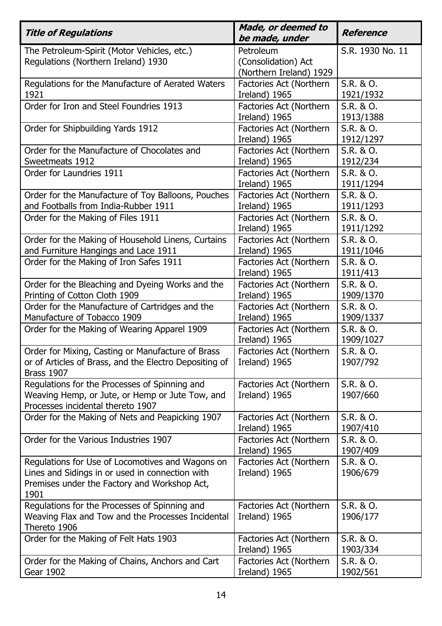| <b>Title of Regulations</b>                                                                                                                                 | Made, or deemed to<br>be made, under                        | <b>Reference</b>       |
|-------------------------------------------------------------------------------------------------------------------------------------------------------------|-------------------------------------------------------------|------------------------|
| The Petroleum-Spirit (Motor Vehicles, etc.)<br>Regulations (Northern Ireland) 1930                                                                          | Petroleum<br>(Consolidation) Act<br>(Northern Ireland) 1929 | S.R. 1930 No. 11       |
| Regulations for the Manufacture of Aerated Waters<br>1921                                                                                                   | Factories Act (Northern<br>Ireland) 1965                    | S.R. & O.<br>1921/1932 |
| Order for Iron and Steel Foundries 1913                                                                                                                     | Factories Act (Northern<br>Ireland) 1965                    | S.R. & O.<br>1913/1388 |
| Order for Shipbuilding Yards 1912                                                                                                                           | Factories Act (Northern<br>Ireland) 1965                    | S.R. & O.<br>1912/1297 |
| Order for the Manufacture of Chocolates and<br>Sweetmeats 1912                                                                                              | Factories Act (Northern<br>Ireland) 1965                    | S.R. & O.<br>1912/234  |
| Order for Laundries 1911                                                                                                                                    | Factories Act (Northern<br>Ireland) 1965                    | S.R. & O.<br>1911/1294 |
| Order for the Manufacture of Toy Balloons, Pouches<br>and Footballs from India-Rubber 1911                                                                  | Factories Act (Northern<br>Ireland) 1965                    | S.R. & O.<br>1911/1293 |
| Order for the Making of Files 1911                                                                                                                          | Factories Act (Northern<br>Ireland) 1965                    | S.R. & O.<br>1911/1292 |
| Order for the Making of Household Linens, Curtains<br>and Furniture Hangings and Lace 1911                                                                  | Factories Act (Northern<br>Ireland) 1965                    | S.R. & O.<br>1911/1046 |
| Order for the Making of Iron Safes 1911                                                                                                                     | Factories Act (Northern<br>Ireland) 1965                    | S.R. & O.<br>1911/413  |
| Order for the Bleaching and Dyeing Works and the<br>Printing of Cotton Cloth 1909                                                                           | Factories Act (Northern<br>Ireland) 1965                    | S.R. & O.<br>1909/1370 |
| Order for the Manufacture of Cartridges and the<br>Manufacture of Tobacco 1909                                                                              | Factories Act (Northern<br>Ireland) 1965                    | S.R. & O.<br>1909/1337 |
| Order for the Making of Wearing Apparel 1909                                                                                                                | Factories Act (Northern<br>Ireland) 1965                    | S.R. & O.<br>1909/1027 |
| Order for Mixing, Casting or Manufacture of Brass<br>or of Articles of Brass, and the Electro Depositing of<br><b>Brass 1907</b>                            | Factories Act (Northern<br>Ireland) 1965                    | S.R. & O.<br>1907/792  |
| Regulations for the Processes of Spinning and<br>Weaving Hemp, or Jute, or Hemp or Jute Tow, and<br>Processes incidental thereto 1907                       | Factories Act (Northern<br>Ireland) 1965                    | S.R. & O.<br>1907/660  |
| Order for the Making of Nets and Peapicking 1907                                                                                                            | Factories Act (Northern<br>Ireland) 1965                    | S.R. & O.<br>1907/410  |
| Order for the Various Industries 1907                                                                                                                       | Factories Act (Northern<br>Ireland) 1965                    | S.R. & O.<br>1907/409  |
| Regulations for Use of Locomotives and Wagons on<br>Lines and Sidings in or used in connection with<br>Premises under the Factory and Workshop Act,<br>1901 | Factories Act (Northern<br>Ireland) 1965                    | S.R. & O.<br>1906/679  |
| Regulations for the Processes of Spinning and<br>Weaving Flax and Tow and the Processes Incidental<br>Thereto 1906                                          | Factories Act (Northern<br>Ireland) 1965                    | S.R. & O.<br>1906/177  |
| Order for the Making of Felt Hats 1903                                                                                                                      | Factories Act (Northern<br>Ireland) 1965                    | S.R. & O.<br>1903/334  |
| Order for the Making of Chains, Anchors and Cart<br><b>Gear 1902</b>                                                                                        | Factories Act (Northern<br>Ireland) 1965                    | S.R. & O.<br>1902/561  |